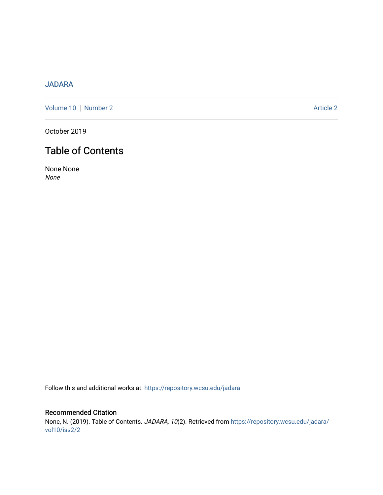# [JADARA](https://repository.wcsu.edu/jadara)

[Volume 10](https://repository.wcsu.edu/jadara/vol10) | [Number 2](https://repository.wcsu.edu/jadara/vol10/iss2) Article 2

October 2019

# Table of Contents

None None None

Follow this and additional works at: [https://repository.wcsu.edu/jadara](https://repository.wcsu.edu/jadara?utm_source=repository.wcsu.edu%2Fjadara%2Fvol10%2Fiss2%2F2&utm_medium=PDF&utm_campaign=PDFCoverPages)

Recommended Citation None, N. (2019). Table of Contents. JADARA, 10(2). Retrieved from [https://repository.wcsu.edu/jadara/](https://repository.wcsu.edu/jadara/vol10/iss2/2?utm_source=repository.wcsu.edu%2Fjadara%2Fvol10%2Fiss2%2F2&utm_medium=PDF&utm_campaign=PDFCoverPages) [vol10/iss2/2](https://repository.wcsu.edu/jadara/vol10/iss2/2?utm_source=repository.wcsu.edu%2Fjadara%2Fvol10%2Fiss2%2F2&utm_medium=PDF&utm_campaign=PDFCoverPages)